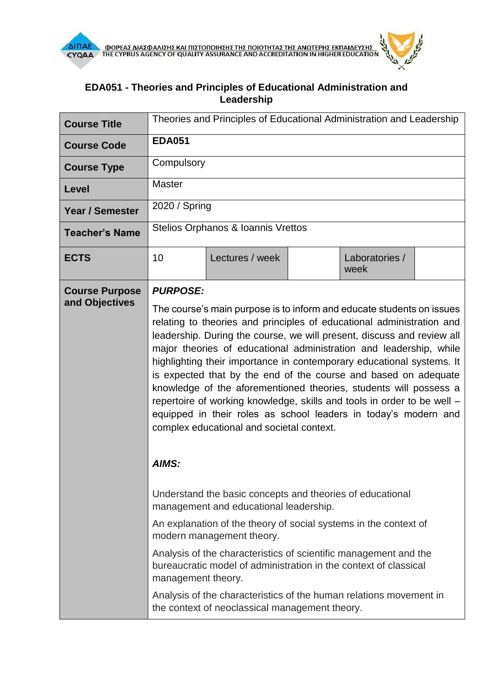

## **EDA051 - Theories and Principles of Educational Administration and Leadership**

| <b>Course Title</b>                     | Theories and Principles of Educational Administration and Leadership                                                                                                                                                                                                                                                                                                                                                                                                                                                                                                                                                                       |                                                                                                                      |  |                        |  |  |
|-----------------------------------------|--------------------------------------------------------------------------------------------------------------------------------------------------------------------------------------------------------------------------------------------------------------------------------------------------------------------------------------------------------------------------------------------------------------------------------------------------------------------------------------------------------------------------------------------------------------------------------------------------------------------------------------------|----------------------------------------------------------------------------------------------------------------------|--|------------------------|--|--|
| <b>Course Code</b>                      | <b>EDA051</b>                                                                                                                                                                                                                                                                                                                                                                                                                                                                                                                                                                                                                              |                                                                                                                      |  |                        |  |  |
| <b>Course Type</b>                      | Compulsory                                                                                                                                                                                                                                                                                                                                                                                                                                                                                                                                                                                                                                 |                                                                                                                      |  |                        |  |  |
| Level                                   | <b>Master</b>                                                                                                                                                                                                                                                                                                                                                                                                                                                                                                                                                                                                                              |                                                                                                                      |  |                        |  |  |
| <b>Year / Semester</b>                  | 2020 / Spring                                                                                                                                                                                                                                                                                                                                                                                                                                                                                                                                                                                                                              |                                                                                                                      |  |                        |  |  |
| <b>Teacher's Name</b>                   | Stelios Orphanos & Ioannis Vrettos                                                                                                                                                                                                                                                                                                                                                                                                                                                                                                                                                                                                         |                                                                                                                      |  |                        |  |  |
| <b>ECTS</b>                             | 10                                                                                                                                                                                                                                                                                                                                                                                                                                                                                                                                                                                                                                         | Lectures / week                                                                                                      |  | Laboratories /<br>week |  |  |
| <b>Course Purpose</b><br>and Objectives | <b>PURPOSE:</b>                                                                                                                                                                                                                                                                                                                                                                                                                                                                                                                                                                                                                            |                                                                                                                      |  |                        |  |  |
|                                         | relating to theories and principles of educational administration and<br>leadership. During the course, we will present, discuss and review all<br>major theories of educational administration and leadership, while<br>highlighting their importance in contemporary educational systems. It<br>is expected that by the end of the course and based on adequate<br>knowledge of the aforementioned theories, students will possess a<br>repertoire of working knowledge, skills and tools in order to be well -<br>equipped in their roles as school leaders in today's modern and<br>complex educational and societal context.<br>AIMS: |                                                                                                                      |  |                        |  |  |
|                                         | Understand the basic concepts and theories of educational<br>management and educational leadership.                                                                                                                                                                                                                                                                                                                                                                                                                                                                                                                                        |                                                                                                                      |  |                        |  |  |
|                                         | An explanation of the theory of social systems in the context of<br>modern management theory.                                                                                                                                                                                                                                                                                                                                                                                                                                                                                                                                              |                                                                                                                      |  |                        |  |  |
|                                         | Analysis of the characteristics of scientific management and the<br>bureaucratic model of administration in the context of classical<br>management theory.                                                                                                                                                                                                                                                                                                                                                                                                                                                                                 |                                                                                                                      |  |                        |  |  |
|                                         |                                                                                                                                                                                                                                                                                                                                                                                                                                                                                                                                                                                                                                            | Analysis of the characteristics of the human relations movement in<br>the context of neoclassical management theory. |  |                        |  |  |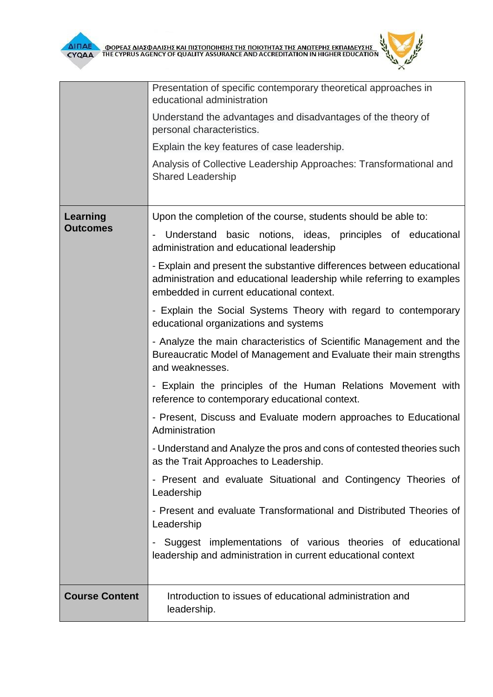

|                             | Presentation of specific contemporary theoretical approaches in<br>educational administration                                                                                              |  |  |  |  |
|-----------------------------|--------------------------------------------------------------------------------------------------------------------------------------------------------------------------------------------|--|--|--|--|
|                             | Understand the advantages and disadvantages of the theory of<br>personal characteristics.                                                                                                  |  |  |  |  |
|                             | Explain the key features of case leadership.                                                                                                                                               |  |  |  |  |
|                             | Analysis of Collective Leadership Approaches: Transformational and<br><b>Shared Leadership</b>                                                                                             |  |  |  |  |
| Learning<br><b>Outcomes</b> | Upon the completion of the course, students should be able to:                                                                                                                             |  |  |  |  |
|                             | Understand basic notions, ideas, principles of educational<br>$\overline{\phantom{0}}$<br>administration and educational leadership                                                        |  |  |  |  |
|                             | - Explain and present the substantive differences between educational<br>administration and educational leadership while referring to examples<br>embedded in current educational context. |  |  |  |  |
|                             | - Explain the Social Systems Theory with regard to contemporary<br>educational organizations and systems                                                                                   |  |  |  |  |
|                             | - Analyze the main characteristics of Scientific Management and the<br>Bureaucratic Model of Management and Evaluate their main strengths<br>and weaknesses.                               |  |  |  |  |
|                             | - Explain the principles of the Human Relations Movement with<br>reference to contemporary educational context.                                                                            |  |  |  |  |
|                             | - Present, Discuss and Evaluate modern approaches to Educational<br>Administration                                                                                                         |  |  |  |  |
|                             | - Understand and Analyze the pros and cons of contested theories such<br>as the Trait Approaches to Leadership.                                                                            |  |  |  |  |
|                             | Present and evaluate Situational and Contingency Theories of<br>Leadership                                                                                                                 |  |  |  |  |
|                             | - Present and evaluate Transformational and Distributed Theories of<br>Leadership                                                                                                          |  |  |  |  |
|                             | Suggest implementations of various theories of educational<br>leadership and administration in current educational context                                                                 |  |  |  |  |
| <b>Course Content</b>       | Introduction to issues of educational administration and<br>leadership.                                                                                                                    |  |  |  |  |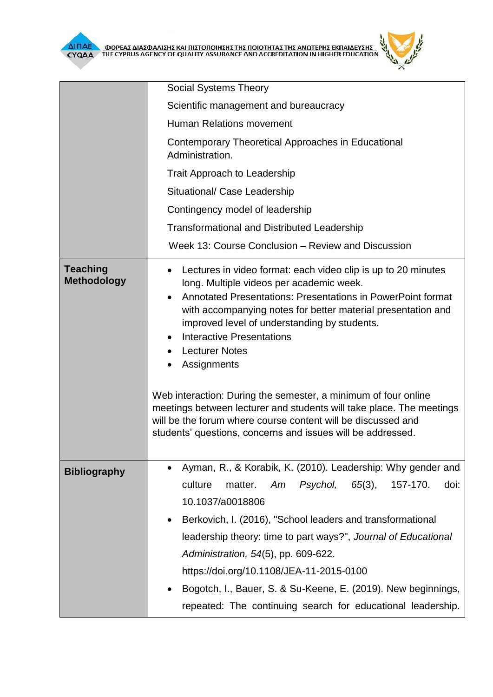**Contract Contract Contract Contract Contract Contract Contract Contract Contract Contract Contract Contract Co** 



|                                       | <b>Social Systems Theory</b>                                                                                                                                                                                                                                                                                                                                                                                                                                                                                                                                                                                                                                    |  |  |  |  |
|---------------------------------------|-----------------------------------------------------------------------------------------------------------------------------------------------------------------------------------------------------------------------------------------------------------------------------------------------------------------------------------------------------------------------------------------------------------------------------------------------------------------------------------------------------------------------------------------------------------------------------------------------------------------------------------------------------------------|--|--|--|--|
|                                       | Scientific management and bureaucracy                                                                                                                                                                                                                                                                                                                                                                                                                                                                                                                                                                                                                           |  |  |  |  |
|                                       | <b>Human Relations movement</b>                                                                                                                                                                                                                                                                                                                                                                                                                                                                                                                                                                                                                                 |  |  |  |  |
|                                       | Contemporary Theoretical Approaches in Educational<br>Administration.                                                                                                                                                                                                                                                                                                                                                                                                                                                                                                                                                                                           |  |  |  |  |
|                                       | Trait Approach to Leadership                                                                                                                                                                                                                                                                                                                                                                                                                                                                                                                                                                                                                                    |  |  |  |  |
|                                       | Situational/ Case Leadership                                                                                                                                                                                                                                                                                                                                                                                                                                                                                                                                                                                                                                    |  |  |  |  |
|                                       | Contingency model of leadership                                                                                                                                                                                                                                                                                                                                                                                                                                                                                                                                                                                                                                 |  |  |  |  |
|                                       | <b>Transformational and Distributed Leadership</b>                                                                                                                                                                                                                                                                                                                                                                                                                                                                                                                                                                                                              |  |  |  |  |
|                                       | Week 13: Course Conclusion – Review and Discussion                                                                                                                                                                                                                                                                                                                                                                                                                                                                                                                                                                                                              |  |  |  |  |
| <b>Teaching</b><br><b>Methodology</b> | Lectures in video format: each video clip is up to 20 minutes<br>٠<br>long. Multiple videos per academic week.<br>Annotated Presentations: Presentations in PowerPoint format<br>with accompanying notes for better material presentation and<br>improved level of understanding by students.<br><b>Interactive Presentations</b><br><b>Lecturer Notes</b><br>$\bullet$<br>Assignments<br>Web interaction: During the semester, a minimum of four online<br>meetings between lecturer and students will take place. The meetings<br>will be the forum where course content will be discussed and<br>students' questions, concerns and issues will be addressed. |  |  |  |  |
| <b>Bibliography</b>                   | Ayman, R., & Korabik, K. (2010). Leadership: Why gender and<br>٠<br>culture<br>Psychol,<br>$65(3)$ ,<br>157-170.<br>doi:<br>matter.<br>Am<br>10.1037/a0018806<br>Berkovich, I. (2016), "School leaders and transformational<br>$\bullet$<br>leadership theory: time to part ways?", Journal of Educational<br>Administration, 54(5), pp. 609-622.<br>https://doi.org/10.1108/JEA-11-2015-0100<br>Bogotch, I., Bauer, S. & Su-Keene, E. (2019). New beginnings,<br>$\bullet$                                                                                                                                                                                     |  |  |  |  |
|                                       | repeated: The continuing search for educational leadership.                                                                                                                                                                                                                                                                                                                                                                                                                                                                                                                                                                                                     |  |  |  |  |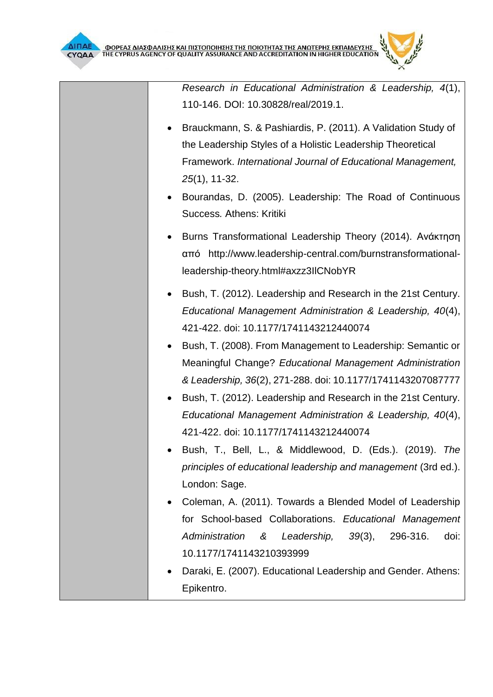*Research in Educational Administration & Leadership, 4*(1), 110-146. DOI: 10.30828/real/2019.1.

- Brauckmann, S. & Pashiardis, P. (2011). A Validation Study of the Leadership Styles of a Holistic Leadership Theoretical Framework. *International Journal of Educational Management, 25*(1), 11-32.
- Bourandas, D. (2005). Leadership: The Road of Continuous Success*.* Αthens: Kritiki
- Burns Transformational Leadership Theory (2014). Ανάκτηση από http://www.leadership-central.com/burnstransformationalleadership-theory.html#axzz3IlCNobYR
- Bush, T. (2012). Leadership and Research in the 21st Century. *Educational Management Administration & Leadership, 40*(4), 421-422. doi: 10.1177/1741143212440074
- Bush, T. (2008). From Management to Leadership: Semantic or Meaningful Change? *Educational Management Administration & Leadership, 36*(2), 271-288. doi: 10.1177/1741143207087777
- Bush, T. (2012). Leadership and Research in the 21st Century. *Educational Management Administration & Leadership, 40*(4), 421-422. doi: 10.1177/1741143212440074
- Bush, T., Bell, L., & Middlewood, D. (Eds.). (2019). *The principles of educational leadership and management* (3rd ed.). London: Sage.
- Coleman, A. (2011). Towards a Blended Model of Leadership for School-based Collaborations. *Educational Management Administration & Leadership, 39*(3), 296-316. doi: 10.1177/1741143210393999
- Daraki, Ε. (2007). Educational Leadership and Gender. Athens: Epikentro.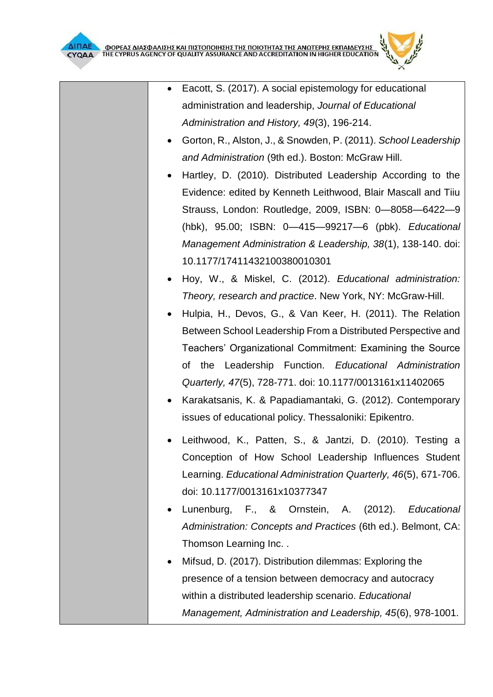

- Gorton, R., Alston, J., & Snowden, P. (2011). *School Leadership and Administration* (9th ed.). Boston: McGraw Hill.
- Hartley, D. (2010). Distributed Leadership According to the Evidence: edited by Kenneth Leithwood, Blair Mascall and Tiiu Strauss, London: Routledge, 2009, ISBN: 0—8058—6422—9 (hbk), 95.00; ISBN: 0—415—99217—6 (pbk). *Educational Management Administration & Leadership, 38*(1), 138-140. doi: 10.1177/17411432100380010301
- Hoy, W., & Miskel, C. (2012). *Educational administration: Theory, research and practice*. New York, NY: McGraw-Hill.
- Hulpia, H., Devos, G., & Van Keer, H. (2011). The Relation Between School Leadership From a Distributed Perspective and Teachers' Organizational Commitment: Examining the Source of the Leadership Function. *Educational Administration Quarterly, 47*(5), 728-771. doi: 10.1177/0013161x11402065
- Karakatsanis, K. & Papadiamantaki, G. (2012). Contemporary issues of educational policy. Thessaloniki: Εpikentro.
- Leithwood, K., Patten, S., & Jantzi, D. (2010). Testing a Conception of How School Leadership Influences Student Learning. *Educational Administration Quarterly, 46*(5), 671-706. doi: 10.1177/0013161x10377347
- Lunenburg, F., & Ornstein, A. (2012). *Educational Administration: Concepts and Practices* (6th ed.). Belmont, CA: Thomson Learning Inc. .
- Mifsud, D. (2017). Distribution dilemmas: Exploring the presence of a tension between democracy and autocracy within a distributed leadership scenario. *Educational Management, Administration and Leadership, 45*(6), 978-1001.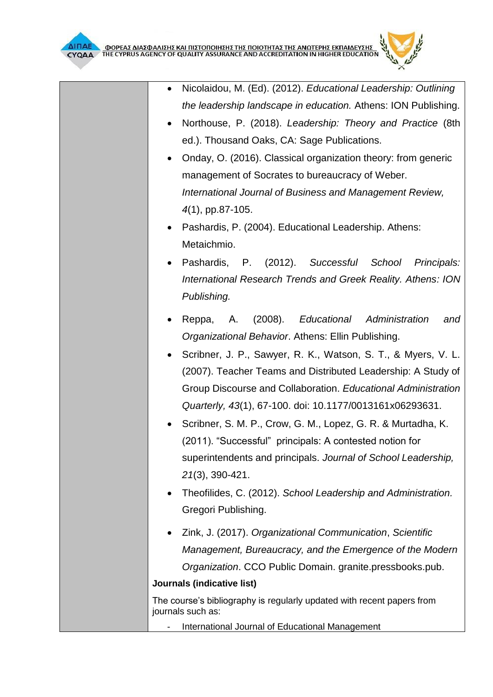

- Northouse, P. (2018). *Leadership: Theory and Practice* (8th ed.). Thousand Oaks, CA: Sage Publications.
- Onday, O. (2016). Classical organization theory: from generic management of Socrates to bureaucracy of Weber. *International Journal of Business and Management Review, 4*(1), pp.87-105.
- Pashardis, P. (2004). Educational Leadership. Athens: Metaichmio.
- Pashardis, P. (2012). *Successful School Principals: International Research Trends and Greek Reality. Athens: ION Publishing.*
- Reppa, Α. (2008). *Educational Administration and Organizational Behavior*. Athens: Ellin Publishing.
- Scribner, J. P., Sawyer, R. K., Watson, S. T., & Myers, V. L. (2007). Teacher Teams and Distributed Leadership: A Study of Group Discourse and Collaboration. *Educational Administration Quarterly, 43*(1), 67-100. doi: 10.1177/0013161x06293631.
- Scribner, S. M. P., Crow, G. M., Lopez, G. R. & Murtadha, K. (2011). "Successful" principals: A contested notion for superintendents and principals. *Journal of School Leadership, 21*(3), 390-421.
- Theofilides, C. (2012). *School Leadership and Administration.*  Gregori Publishing.
- Zink, J. (2017). *Organizational Communication*, *Scientific Management, Bureaucracy, and the Emergence of the Modern Organization*. CCO Public Domain. granite.pressbooks.pub.

## **Journals (indicative list)**

The course's bibliography is regularly updated with recent papers from journals such as:

- International Journal of Educational Management